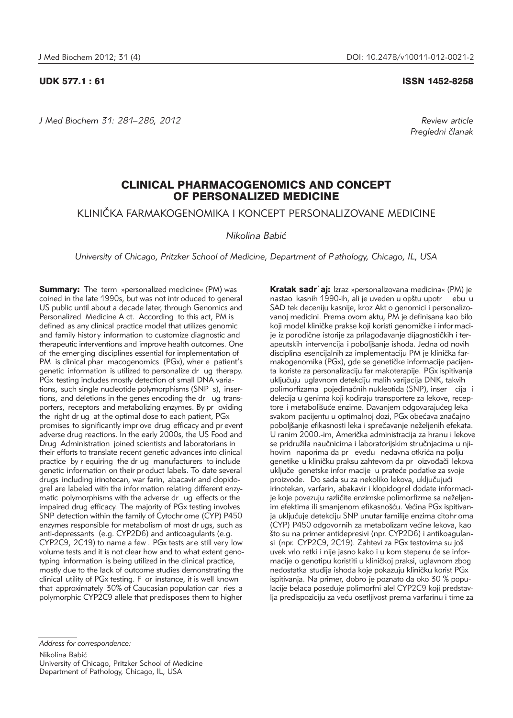*J Med Biochem 31: 281–286, 2012 Review article*

UDK 577.1 : 61 ISSN 1452-8258

*Pregledni ~lanak*

# CLINICAL PHARMACOGENOMICS AND CONCEPT OF PERSONALIZED MEDICINE

KLINIČKA FARMAKOGENOMIKA I KONCEPT PERSONALIZOVANE MEDICINE

*Nikolina Babi}*

*University of Chicago, Pritzker School of Medicine, Department of Pathology, Chicago, IL, USA*

**Summary:** The term »personalized medicine« (PM) was coined in the late 1990s, but was not intr oduced to general US public until about a decade later, through Genomics and Personalized Medicine A ct. According to this act, PM is defined as any clinical practice model that utilizes genomic and family histor y information to customize diagnostic and therapeutic interventions and improve health outcomes. One of the emerging disciplines essential for implementation of PM is clinical phar macogenomics (PGx), wher e patient's genetic information is utilized to personalize dr ug therapy. PGx testing includes mostly detection of small DNA variations, such single nucleotide polymorphisms (SNP s), insertions, and deletions in the genes encoding the dr ug transporters, receptors and metabolizing enzymes. By pr oviding the right dr ug at the optimal dose to each patient, PGx promises to significantly impr ove drug efficacy and pr event adverse drug reactions. In the early 2000s, the US Food and Drug Administration joined scientists and laboratorians in their efforts to translate recent genetic advances into clinical practice by r equiring the dr ug manufacturers to include genetic information on their pr oduct labels. To date several drugs including irinotecan, war farin, abacavir and clopidogrel are labeled with the infor mation relating different enzymatic polymorphisms with the adverse dr ug effects or the impaired drug efficacy. The majority of PGx testing involves SNP detection within the family of Cytochr ome (CYP) P450 enzymes responsible for metabolism of most dr ugs, such as anti-depressants (e.g. CYP2D6) and anticoagulants (e.g. CYP2C9, 2C19) to name a few . PGx tests ar e still very low volume tests and it is not clear how and to what extent genotyping information is being utilized in the clinical practice, mostly due to the lack of outcome studies demonstrating the clinical utility of PGx testing. F or instance, it is well known that approximately 30% of Caucasian population car ries a polymorphic CYP2C9 allele that predisposes them to higher

Kratak sadr`aj: Izraz »personalizovana medicina« (PM) je nastao kasnih 1990-ih, ali je uveden u opštu upotr ebu u SAD tek deceniju kasnije, kroz Akt o genomici i personalizovanoj medicini. Prema ovom aktu, PM je definisana kao bilo koji model kliničke prakse koji koristi genomičke i informacije iz porodične istorije za prilagođavanje dijagnostičkih i terapeutskih intervencija i poboljšanje ishoda. Jedna od novih disciplina esencijalnih za implementaciju PM je klinička farmakogenomika (PGx), gde se genetičke informacije pacijenta koriste za personalizaciju far makoterapije. PGx ispitivanja uključuju uglavnom detekciju malih varijacija DNK, takvih polimorfizama pojedinačnih nukleotida (SNP), inser cija i delecija u genima koji kodiraju transportere za lekove, receptore i metabolišuće enzime. Davanjem odgovarajućeg leka svakom pacijentu u optimalnoj dozi, PGx obećava značajno poboljšanje efikasnosti leka i sprečavanje neželjenih efekata. U ranim 2000.-im, Američka administracija za hranu i lekove se pridružila naučnicima i laboratorijskim stručnjacima u njihovim naporima da pr evedu nedavna otkrića na polju genetike u kliničku praksu zahtevom da pr oizvođači lekova uključe genetske infor macije u prateće podatke za svoje proizvode. Do sada su za nekoliko lekova, uključujući irinotekan, varfarin, abakavir i klopidogrel dodate informacije koje povezuju različite enzimske polimorfizme sa neželjenim efektima ili smanjenom efikasnošću. Većina PGx ispitivanja uključuje detekciju SNP unutar familije enzima citohr oma (CYP) P450 odgovornih za metabolizam većine lekova, kao što su na primer antidepresivi (npr. CYP2D6) i antikoagulansi (npr. CYP2C9, 2C19). Zahtevi za PGx testovima su još uvek vrlo retki i nije jasno kako i u kom stepenu će se informacije o genotipu koristiti u kliničkoj praksi, uglavnom zbog nedostatka studija ishoda koje pokazuju kliničku korist PGx ispitivanja. Na primer, dobro je poznato da oko 30 % populacije belaca poseduje polimorfni alel CYP2C9 koji predstavlja predispoziciju za veću osetljivost prema varfarinu i time za

*Address for correspondence:*

Nikolina Babić

University of Chicago, Pritzker School of Medicine Department of Pathology, Chicago, IL, USA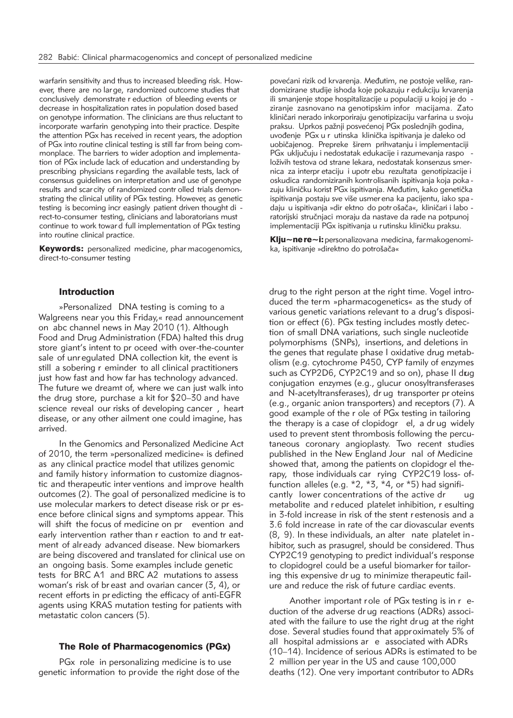warfarin sensitivity and thus to increased bleeding risk. However, there are no large, randomized outcome studies that conclusively demonstrate r eduction of bleeding events or decrease in hospitalization rates in population dosed based on genotype information. The clinicians are thus reluctant to incorporate warfarin genotyping into their practice. Despite the attention PGx has received in recent years, the adoption of PGx into routine clinical testing is still far from being commonplace. The barriers to wider adoption and implementation of PGx include lack of education and understanding by prescribing physicians regarding the available tests, lack of consensus guidelines on interpretation and use of genotype results and scarcity of randomized contr olled trials demonstrating the clinical utility of PGx testing. However, as genetic testing is becoming incr easingly patient driven thought di rect-to-consumer testing, clinicians and laboratorians must continue to work towar d full implementation of PGx testing into routine clinical practice.

**Keywords:** personalized medicine, phar macogenomics, direct-to-consumer testing

# Introduction

»Personalized DNA testing is coming to a Walgreens near you this Friday,« read announcement on abc channel news in May 2010 (1). Although Food and Drug Administration (FDA) halted this drug store giant's intent to pr oceed with over-the-counter sale of unr egulated DNA collection kit, the event is still a sobering r eminder to all clinical practitioners just how fast and how far has technology advanced. The future we dreamt of, where we can just walk into the drug store, purchase a kit for \$20–30 and have science reveal our risks of developing cancer , heart disease, or any other ailment one could imagine, has arrived.

In the Genomics and Personalized Medicine Act of 2010, the term »personalized medicine« is defined as any clinical practice model that utilizes genomic and family history information to customize diagnostic and therapeutic inter ventions and improve health outcomes (2). The goal of personalized medicine is to use molecular markers to detect disease risk or pr esence before clinical signs and symptoms appear. This will shift the focus of medicine on pr evention and early intervention rather than r eaction to and tr eatment of alr eady advanced disease. New biomarkers are being discovered and translated for clinical use on an ongoing basis. Some examples include genetic tests for BRC A1 and BRC A2 mutations to assess woman's risk of br east and ovarian cancer (3, 4), or recent efforts in pr edicting the efficacy of anti-EGFR agents using KRAS mutation testing for patients with metastatic colon cancers (5).

# The Role of Pharmacogenomics (PGx)

PGx role in personalizing medicine is to use genetic information to provide the right dose of the

povećani rizik od krvarenja. Međutim, ne postoje velike, randomizirane studije ishoda koje pokazuju r edukciju krvarenja ili smanjenje stope hospitalizacije u populaciji u kojoj je do ziranje zasnovano na genotipskim infor macijama. Zato kliničari nerado inkorporiraju genotipizaciju varfarina u svoju praksu. Uprkos pažnji posvećenoj PGx poslednjih godina, uvođenje PGx u r utinska klinička ispitivanja je daleko od uobičajenog. Prepreke širem prihvatanju i implementaciji PGx uključuju i nedostatak edukacije i razumevanja raspo loživih testova od strane lekara, nedostatak konsenzus smernica za interpr etaciju i upotr ebu rezultata genotipizacije i osku dica randomiziranih kontrolisanih ispitivanja koja poka zuju kliničku korist PGx ispitivanja. Međutim, kako genetička ispitivanja postaju sve više usmer ena ka pacijentu, iako spa daju u ispitivanja »dir ektno do potrošača«, kliničari i labo ratorijski stručnjaci moraju da nastave da rade na potpunoj implementaciji PGx ispitivanja u rutinsku kliničku praksu.

Klju~ne re~i: personalizovana medicina, farmakogenomika, ispitivanje »direktno do potrošača«

drug to the right person at the right time. Vogel introduced the term »pharmacogenetics« as the study of various genetic variations relevant to a drug's disposition or effect (6). PGx testing includes mostly detection of small DNA variations, such single nucleotide polymorphisms (SNPs), insertions, and deletions in the genes that regulate phase I oxidative drug metabolism (e.g. cytochrome P450, CYP family of enzymes such as CYP2D6, CYP2C19 and so on), phase II drug conjugation enzymes (e.g., glucur onosyltransferases and N-acetyltransferases), dr ug transporter pr oteins (e.g., organic anion transporters) and receptors (7). A good example of the r ole of PGx testing in tailoring the therapy is a case of clopidogr el, a dr ug widely used to prevent stent thrombosis following the percutaneous coronary angioplasty. Two recent studies published in the New England Jour nal of Medicine showed that, among the patients on clopidogr el therapy, those individuals car rying CYP2C19 loss- offunction alleles (e.g.  $*2, *3, *4$ , or  $*5$ ) had significantly lower concentrations of the active dr ug metabolite and r educed platelet inhibition, r esulting in 3-fold increase in risk of the stent r estenosis and a 3.6 fold increase in rate of the car diovascular events (8, 9). In these individuals, an alter nate platelet in hibitor, such as prasugrel, should be considered. Thus CYP2C19 genotyping to predict individual's response to clopidogrel could be a useful biomarker for tailoring this expensive dr ug to minimize therapeutic failure and reduce the risk of future cardiac events.

Another important role of PGx testing is in r eduction of the adverse dr ug reactions (ADRs) associated with the failure to use the right drug at the right dose. Several studies found that approximately 5% of all hospital admissions ar e associated with ADRs (10–14). Incidence of serious ADRs is estimated to be 2 million per year in the US and cause 100,000 deaths (12). One very important contributor to ADRs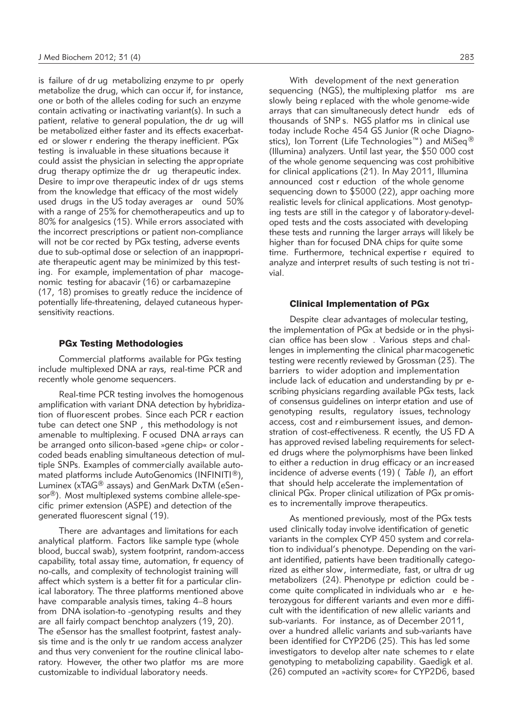is failure of dr ug metabolizing enzyme to pr operly metabolize the drug, which can occur if, for instance, one or both of the alleles coding for such an enzyme contain activating or inactivating variant(s). In such a patient, relative to general population, the dr ug will be metabolized either faster and its effects exacerbated or slower r endering the therapy inefficient. PGx testing is invaluable in these situations because it could assist the physician in selecting the appropriate drug therapy optimize the dr ug therapeutic index. Desire to impr ove therapeutic index of dr ugs stems from the knowledge that efficacy of the most widely used drugs in the US today averages ar ound 50% with a range of 25% for chemotherapeutics and up to 80% for analgesics (15). While errors associated with the incorrect prescriptions or patient non-compliance will not be cor rected by PG<sub>x</sub> testing, adverse events due to sub-optimal dose or selection of an inappropriate therapeutic agent may be minimized by this testing. For example, implementation of phar macogenomic testing for abacavir (16) or carbamazepine (17, 18) promises to greatly reduce the incidence of potentially life-threatening, delayed cutaneous hypersensitivity reactions.

# PGx Testing Methodologies

Commercial platforms available for PGx testing include multiplexed DNA ar rays, real-time PCR and recently whole genome sequencers.

Real-time PCR testing involves the homogenous amplification with variant DNA detection by hybridization of fluorescent probes. Since each PCR r eaction tube can detect one SNP , this methodology is not amenable to multiplexing. F ocused DNA ar rays can be arranged onto silicon-based »gene chip« or color coded beads enabling simultaneous detection of multiple SNPs. Examples of commercially available automated platforms include AutoGenomics (INFINITI®), Luminex (xTAG® assays) and GenMark DxTM (eSen sor<sup>®</sup>). Most multiplexed systems combine allele-specific primer extension (ASPE) and detection of the generated fluorescent signal (19).

There are advantages and limitations for each analytical platform. Factors like sample type (whole blood, buccal swab), system footprint, random-access capability, total assay time, automation, fr equency of no-calls, and complexity of technologist training will affect which system is a better fit for a particular clinical laboratory. The three platforms mentioned above have comparable analysis times, taking 4–8 hours from DNA isolation-to -genotyping results and they are all fairly compact benchtop analyzers (19, 20). The eSensor has the smallest footprint, fastest analysis time and is the only tr ue random access analyzer and thus very convenient for the routine clinical laboratory. However, the other two platfor ms are more customizable to individual laboratory needs.

With development of the next generation sequencing (NGS), the multiplexing platfor ms are slowly being r eplaced with the whole genome-wide arrays that can simultaneously detect hundr eds of thousands of SNP s. NGS platfor ms in clinical use today include Roche 454 GS Junior (R oche Diagnostics), Ion Torrent (Life Technologies™) and MiSeq<sup>®</sup> (Illumina) analyzers. Until last year, the \$50 000 cost of the whole genome sequencing was cost prohibitive for clinical applications (21). In May 2011, Illumina announced cost r eduction of the whole genome sequencing down to \$5000 (22), appr oaching more realistic levels for clinical applications. Most genotyping tests are still in the categor y of laborator y-developed tests and the costs associated with developing these tests and running the larger arrays will likely be higher than for focused DNA chips for quite some time. Furthermore, technical expertise r equired to analyze and interpret results of such testing is not trivial.

### Clinical Implementation of PGx

Despite clear advantages of molecular testing, the implementation of PGx at bedside or in the physician office has been slow . Various steps and challenges in implementing the clinical phar macogenetic testing were recently reviewed by Grossman (23). The barriers to wider adoption and implementation include lack of education and understanding by pr escribing physicians regarding available PGx tests, lack of consensus guidelines on interpr etation and use of genotyping results, regulatory issues, technology access, cost and r eimbursement issues, and demonstration of cost-effectiveness. R ecently, the US FD A has approved revised labeling requirements for selected drugs where the polymorphisms have been linked to either a reduction in drug efficacy or an incr eased incidence of adverse events (19) ( *Table I*), an effort that should help accelerate the implementation of clinical PGx. Proper clinical utilization of PGx promises to incrementally improve therapeutics.

As mentioned previously, most of the PGx tests used clinically today involve identification of genetic variants in the complex CYP 450 system and cor relation to individual's phenotype. Depending on the variant identified, patients have been traditionally categorized as either slow, intermediate, fast, or ultra dr ug metabolizers (24). Phenotype pr ediction could be come quite complicated in individuals who ar e heterozygous for different variants and even mor e difficult with the identification of new allelic variants and sub-variants. For instance, as of December 2011, over a hundred allelic variants and sub-variants have been identified for CYP2D6 (25). This has led some investigators to develop alter nate schemes to r elate genotyping to metabolizing capability. Gaedigk et al. (26) computed an »activity score« for CYP2D6, based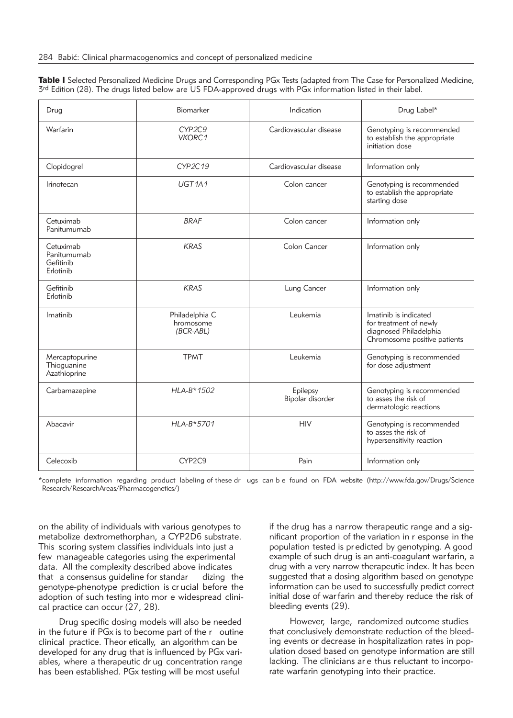Table I Selected Personalized Medicine Drugs and Corresponding PGx Tests (adapted from The Case for Personalized Medicine, 3rd Edition (28). The drugs listed below are US FDA-approved drugs with PGx information listed in their label.

| Drug                                               | Biomarker                                  | Indication                   | Drug Label*                                                                                               |
|----------------------------------------------------|--------------------------------------------|------------------------------|-----------------------------------------------------------------------------------------------------------|
| Warfarin                                           | CYP2C9<br>VKORC1                           | Cardiovascular disease       | Genotyping is recommended<br>to establish the appropriate<br>initiation dose                              |
| Clopidogrel                                        | CYP2C19                                    | Cardiovascular disease       | Information only                                                                                          |
| Irinotecan                                         | UGT <sub>1A1</sub>                         | Colon cancer                 | Genotyping is recommended<br>to establish the appropriate<br>starting dose                                |
| Cetuximab<br>Panitumumab                           | <b>BRAF</b>                                | Colon cancer                 | Information only                                                                                          |
| Cetuximab<br>Panitumumab<br>Gefitinib<br>Erlotinib | <b>KRAS</b>                                | Colon Cancer                 | Information only                                                                                          |
| Gefitinib<br>Erlotinib                             | <b>KRAS</b>                                | Lung Cancer                  | Information only                                                                                          |
| Imatinib                                           | Philadelphia C<br>hromosome<br>$(BCR-ABL)$ | Leukemia                     | Imatinib is indicated<br>for treatment of newly<br>diagnosed Philadelphia<br>Chromosome positive patients |
| Mercaptopurine<br>Thioguanine<br>Azathioprine      | <b>TPMT</b>                                | Leukemia                     | Genotyping is recommended<br>for dose adjustment                                                          |
| Carbamazepine                                      | HLA-B*1502                                 | Epilepsy<br>Bipolar disorder | Genotyping is recommended<br>to asses the risk of<br>dermatologic reactions                               |
| Abacavir                                           | HLA-B*5701                                 | <b>HIV</b>                   | Genotyping is recommended<br>to asses the risk of<br>hypersensitivity reaction                            |
| Celecoxib                                          | CYP2C9                                     | Pain                         | Information only                                                                                          |

\*complete information regarding product labeling of these dr ugs can b e found on FDA website (http://www.fda.gov/Drugs/Science Research/ResearchAreas/Pharmacogenetics/)

on the ability of individuals with various genotypes to metabolize dextromethorphan, a CYP2D6 substrate. This scoring system classifies individuals into just a few manageable categories using the experimental data. All the complexity described above indicates that a consensus guideline for standar dizing the genotype-phenotype prediction is cr ucial before the adoption of such testing into mor e widespread clinical practice can occur (27, 28).

Drug specific dosing models will also be needed in the future if PGx is to become part of the r outine clinical practice. Theor etically, an algorithm can be developed for any drug that is influenced by PGx variables, where a therapeutic dr ug concentration range has been established. PGx testing will be most useful

if the drug has a narrow therapeutic range and a significant proportion of the variation in r esponse in the population tested is pr edicted by genotyping. A good example of such drug is an anti-coagulant war farin, a drug with a very narrow therapeutic index. It has been suggested that a dosing algorithm based on genotype information can be used to successfully predict correct initial dose of war farin and thereby reduce the risk of bleeding events (29).

However, large, randomized outcome studies that conclusively demonstrate reduction of the bleeding events or decrease in hospitalization rates in population dosed based on genotype information are still lacking. The clinicians ar e thus reluctant to incorporate warfarin genotyping into their practice.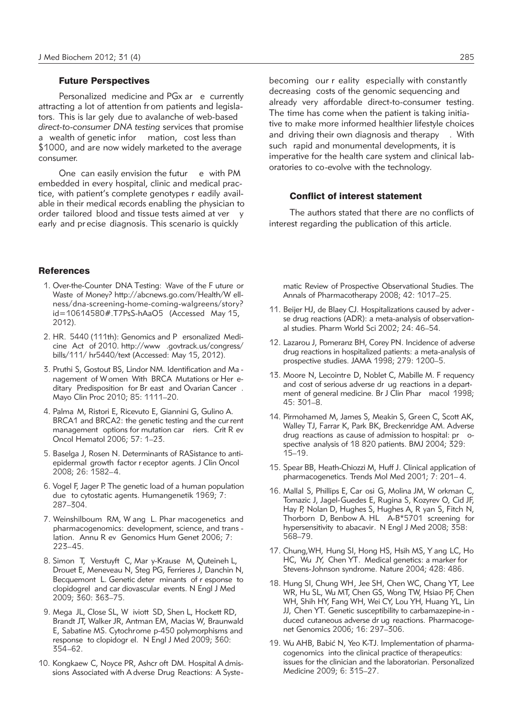# Future Perspectives

Personalized medicine and PGx ar e currently attracting a lot of attention fr om patients and legislators. This is lar gely due to avalanche of web-based *direct-to-consumer DNA testing* services that promise a wealth of genetic infor mation, cost less than \$1000, and are now widely marketed to the average consumer.

One can easily envision the futur e with PM embedded in every hospital, clinic and medical practice, with patient's complete genotypes r eadily available in their medical records enabling the physician to order tailored blood and tissue tests aimed at ver y early and pr ecise diagnosis. This scenario is quickly

# **References**

- 1. Over-the-Counter DNA Testing: Wave of the F uture or Waste of Money? http://abcnews.go.com/Health/W ellness/dna-screening-home-coming-walgreens/story? id=10614580#.T7PsS-hAaO5 (Accessed May 15, 2012).
- 2. HR. 5440 (111th): Genomics and P ersonalized Medicine Act of 2010. http://www .govtrack.us/congress/ bills/111/ hr5440/text (Accessed: May 15, 2012).
- 3. Pruthi S, Gostout BS, Lindor NM. Identification and Ma nagement of Women With BRCA Mutations or Her editary Predisposition for Br east and Ovarian Cancer . Mayo Clin Proc 2010; 85: 1111–20.
- 4. Palma M, Ristori E, Ricevuto E, Giannini G, Gulino A. BRCA1 and BRCA2: the genetic testing and the cur rent management options for mutation car riers. Crit R ev Oncol Hematol 2006; 57: 1–23.
- 5. Baselga J, Rosen N. Determinants of RASistance to antiepidermal growth factor r eceptor agents. J Clin Oncol 2008; 26: 1582–4.
- 6. Vogel F, Jager P. The genetic load of a human population due to cytostatic agents. Humangenetik 1969; 7: 287–304.
- 7. Weinshilboum RM, W ang L. Phar macogenetics and pharmacogenomics: development, science, and trans lation. Annu R ev Genomics Hum Genet 2006; 7: 223–45.
- 8. Simon T, Verstuyft C, Mar y-Krause M, Quteineh L, Drouet E, Meneveau N, Steg PG, Ferrieres J, Danchin N, Becquemont L. Genetic deter minants of r esponse to clopidogrel and car diovascular events. N Engl J Med 2009; 360: 363–75.
- 9. Mega JL, Close SL, W iviott SD, Shen L, Hockett RD, Brandt JT, Walker JR, Antman EM, Macias W, Braunwald E, Sabatine MS. Cytochrome p-450 polymorphisms and response to clopidogr el. N Engl J Med 2009; 360: 354–62.
- 10. Kongkaew C, Noyce PR, Ashcr oft DM. Hospital A dmissions Associated with A dverse Drug Reactions: A Syste -

becoming our r eality especially with constantly decreasing costs of the genomic sequencing and already very affordable direct-to-consumer testing. The time has come when the patient is taking initiative to make more informed healthier lifestyle choices and driving their own diagnosis and therapy . With such rapid and monumental developments, it is imperative for the health care system and clinical laboratories to co-evolve with the technology.

### Conflict of interest statement

The authors stated that there are no conflicts of interest regarding the publication of this article.

matic Review of Prospective Observational Studies. The Annals of Pharmacotherapy 2008; 42: 1017–25.

- 11. Beijer HJ, de Blaey CJ. Hospitalizations caused by adver se drug reactions (ADR): a meta-analysis of observational studies. Pharm World Sci 2002; 24: 46–54.
- 12. Lazarou J, Pomeranz BH, Corey PN. Incidence of adverse drug reactions in hospitalized patients: a meta-analysis of prospective studies. JAMA 1998; 279: 1200–5.
- 13. Moore N, Lecointre D, Noblet C, Mabille M. F requency and cost of serious adverse dr ug reactions in a department of general medicine. Br J Clin Phar macol 1998; 45: 301–8.
- 14. Pirmohamed M, James S, Meakin S, Green C, Scott AK, Walley TJ, Farrar K, Park BK, Breckenridge AM. Adverse drug reactions as cause of admission to hospital: pr ospective analysis of 18 820 patients. BMJ 2004; 329: 15–19.
- 15. Spear BB, Heath-Chiozzi M, Huff J. Clinical application of pharmacogenetics. Trends Mol Med 2001; 7: 201– 4.
- 16. Mallal S, Phillips E, Car osi G, Molina JM, W orkman C, Tomazic J, Jagel-Guedes E, Rugina S, Kozyrev O, Cid JF, Hay P, Nolan D, Hughes S, Hughes A, R yan S, Fitch N, Thorborn D, Benbow A. HL A-B\*5701 screening for hypersensitivity to abacavir. N Engl J Med 2008; 358: 568–79.
- 17. Chung,WH, Hung SI, Hong HS, Hsih MS, Y ang LC, Ho HC, Wu JY, Chen YT. Medical genetics: a marker for Stevens-Johnson syndrome. Nature 2004; 428: 486.
- 18. Hung SI, Chung WH, Jee SH, Chen WC, Chang YT, Lee WR, Hu SL, Wu MT, Chen GS, Wong TW, Hsiao PF, Chen WH, Shih HY, Fang WH, Wei CY, Lou YH, Huang YL, Lin JJ, Chen YT. Genetic susceptibility to carbamazepine-in duced cutaneous adverse dr ug reactions. Pharmacogenet Genomics 2006; 16: 297–306.
- 19. Wu AHB, Babić N, Yeo K-TJ. Implementation of pharmacogenomics into the clinical practice of therapeutics: issues for the clinician and the laboratorian. Personalized Medicine 2009; 6: 315–27.